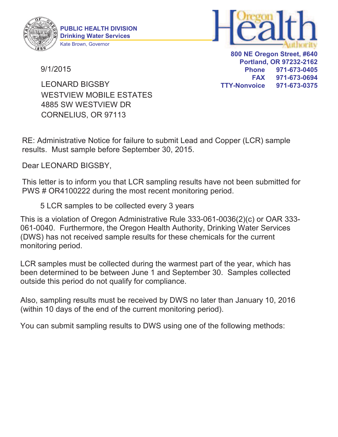



9/1/2015

**800 NE Oregon Street, #640 Portland, OR 97232-2162 Phone 971-673-0405 FAX 971-673-0694 TTY-Nonvoice 971-673-0375**

4885 SW WESTVIEW DR CORNELIUS, OR 97113 WESTVIEW MOBILE ESTATES LEONARD BIGSBY

RE: Administrative Notice for failure to submit Lead and Copper (LCR) sample results. Must sample before September 30, 2015.

Dear LEONARD BIGSBY,

This letter is to inform you that LCR sampling results have not been submitted for PWS # OR4100222 during the most recent monitoring period.

5 LCR samples to be collected every 3 years

This is a violation of Oregon Administrative Rule 333-061-0036(2)(c) or OAR 333- 061-0040. Furthermore, the Oregon Health Authority, Drinking Water Services (DWS) has not received sample results for these chemicals for the current monitoring period.

LCR samples must be collected during the warmest part of the year, which has been determined to be between June 1 and September 30. Samples collected outside this period do not qualify for compliance.

Also, sampling results must be received by DWS no later than January 10, 2016 (within 10 days of the end of the current monitoring period).

You can submit sampling results to DWS using one of the following methods: